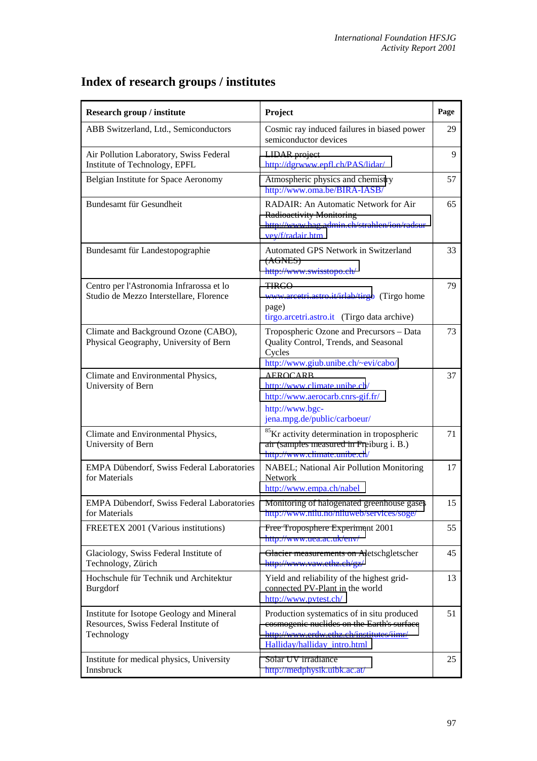| Research group / institute                                                                       | Project                                                                                                                                                              | Page |
|--------------------------------------------------------------------------------------------------|----------------------------------------------------------------------------------------------------------------------------------------------------------------------|------|
| ABB Switzerland, Ltd., Semiconductors                                                            | Cosmic ray induced failures in biased power<br>semiconductor devices                                                                                                 | 29   |
| Air Pollution Laboratory, Swiss Federal<br>Institute of Technology, EPFL                         | LIDAR project<br>http://dgrwww.epfl.ch/PAS/lidar/                                                                                                                    | 9    |
| Belgian Institute for Space Aeronomy                                                             | Atmospheric physics and chemistry<br>http://www.oma.be/BIRA-IASB/                                                                                                    | 57   |
| Bundesamt für Gesundheit                                                                         | RADAIR: An Automatic Network for Air<br><b>Radioactivity Monitoring</b><br>http://www.bag.admin.ch/strahlen/ion/radsur<br>vey/f/radair.htm                           | 65   |
| Bundesamt für Landestopographie                                                                  | Automated GPS Network in Switzerland<br>(AGNES)<br>http://www.swisstopo.ch/                                                                                          | 33   |
| Centro per l'Astronomia Infrarossa et lo<br>Studio de Mezzo Interstellare, Florence              | <b>TIRGO</b><br>www.arcetri.astro.it/irlab/tirgo (Tirgo home<br>page)<br>tirgo.arcetri.astro.it (Tirgo data archive)                                                 | 79   |
| Climate and Background Ozone (CABO),<br>Physical Geography, University of Bern                   | Tropospheric Ozone and Precursors - Data<br>Quality Control, Trends, and Seasonal<br>Cycles<br>http://www.giub.unibe.ch/~evi/cabo/                                   | 73   |
| Climate and Environmental Physics,<br>University of Bern                                         | <b>AEROCARB</b><br>http://www.climate.unibe.ch/<br>http://www.aerocarb.cnrs-gif.fr/<br>http://www.bgc-<br>jena.mpg.de/public/carboeur/                               | 37   |
| Climate and Environmental Physics,<br>University of Bern                                         | <sup>85</sup> Kr activity determination in tropospheric<br>air (samples measured in Freiburg i. B.)<br>http://www.climate.unibe.ch/                                  | 71   |
| EMPA Dübendorf, Swiss Federal Laboratories<br>for Materials                                      | NABEL; National Air Pollution Monitoring<br><b>Network</b><br>http://www.empa.ch/nabel                                                                               | 17   |
| <b>EMPA Dübendorf, Swiss Federal Laboratories</b><br>for Materials                               | Monitoring of halogenated greenhouse gases<br>http://www.nilu.no/niluweb/services/soge/                                                                              | 15   |
| FREETEX 2001 (Various institutions)                                                              | Free Troposphere Experiment 2001<br>http://www.uea.ac.uk/env/                                                                                                        | 55   |
| Glaciology, Swiss Federal Institute of<br>Technology, Zürich                                     | Glacier measurements on Aletschgletscher<br>http://www.vaw.ethz.ch/gz/                                                                                               | 45   |
| Hochschule für Technik und Architektur<br><b>Burgdorf</b>                                        | Yield and reliability of the highest grid-<br>connected PV-Plant in the world<br>http://www.pvtest.ch/                                                               | 13   |
| Institute for Isotope Geology and Mineral<br>Resources, Swiss Federal Institute of<br>Technology | Production systematics of in situ produced<br>cosmogenic nuclides on the Earth's surface<br>http://www.erdw.ethz.ch/institutes/iimr/<br>Halliday/halliday intro.html | 51   |
| Institute for medical physics, University<br>Innsbruck                                           | Solar UV irradiance<br>http://medphysik.uibk.ac.at/                                                                                                                  | 25   |

## **Index of research groups / institutes**